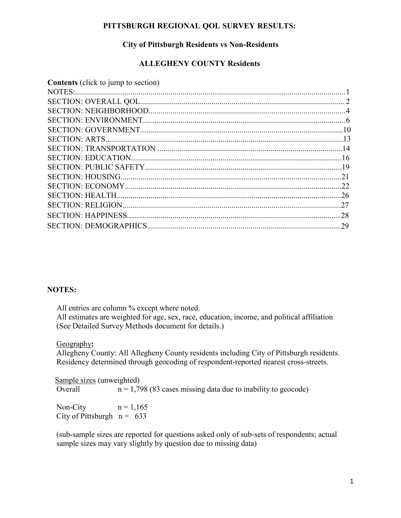## **PITTSBURGH REGIONAL QOL SURVEY RESULTS:**

# **City of Pittsburgh Residents vs Non-Residents**

## **ALLEGHENY COUNTY Residents**

| <b>Contents</b> (click to jump to section) |  |
|--------------------------------------------|--|
|                                            |  |
|                                            |  |
|                                            |  |
|                                            |  |
|                                            |  |
|                                            |  |
|                                            |  |
|                                            |  |
|                                            |  |
|                                            |  |
|                                            |  |
|                                            |  |
|                                            |  |
|                                            |  |
|                                            |  |
|                                            |  |

### **NOTES:**

All entries are column % except where noted.

All estimates are weighted for age, sex, race, education, income, and political affiliation (See Detailed Survey Methods document for details.)

Geography**:** 

Allegheny County: All Allegheny County residents including City of Pittsburgh residents. Residency determined through geocoding of respondent-reported nearest cross-streets.

Sample sizes (unweighted) Overall  $n = 1,798$  (83 cases missing data due to inability to geocode)

Non-City  $n = 1,165$ City of Pittsburgh  $n = 633$ 

(sub-sample sizes are reported for questions asked only of sub-sets of respondents; actual sample sizes may vary slightly by question due to missing data)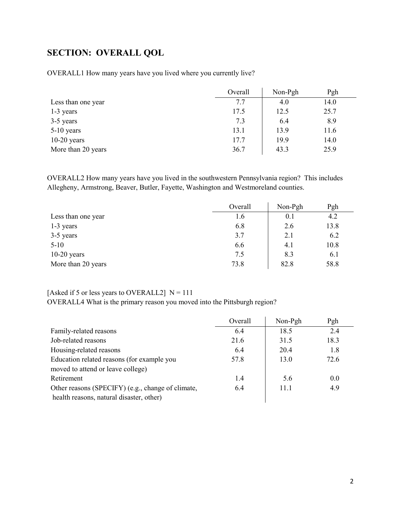# <span id="page-1-0"></span>**SECTION: OVERALL QOL**

OVERALL1 How many years have you lived where you currently live?

|                    | Overall | Non-Pgh | Pgh  |
|--------------------|---------|---------|------|
| Less than one year | 7.7     | 4.0     | 14.0 |
| 1-3 years          | 17.5    | 12.5    | 25.7 |
| 3-5 years          | 7.3     | 6.4     | 8.9  |
| $5-10$ years       | 13.1    | 13.9    | 11.6 |
| $10-20$ years      | 17.7    | 19.9    | 14.0 |
| More than 20 years | 36.7    | 43.3    | 25.9 |

OVERALL2 How many years have you lived in the southwestern Pennsylvania region? This includes Allegheny, Armstrong, Beaver, Butler, Fayette, Washington and Westmoreland counties.

|                    | Overall | Non-Pgh | Pgh  |
|--------------------|---------|---------|------|
| Less than one year | 1.6     | 0.1     | 4.2  |
| 1-3 years          | 6.8     | 2.6     | 13.8 |
| 3-5 years          | 3.7     | 2.1     | 6.2  |
| $5-10$             | 6.6     | 4.1     | 10.8 |
| $10-20$ years      | 7.5     | 8.3     | 6.1  |
| More than 20 years | 73.8    | 82.8    | 58.8 |

## [Asked if 5 or less years to OVERALL2]  $N = 111$

OVERALL4 What is the primary reason you moved into the Pittsburgh region?

|                                                   | Overall | Non-Pgh | Pgh  |
|---------------------------------------------------|---------|---------|------|
| Family-related reasons                            | 6.4     | 18.5    | 2.4  |
| Job-related reasons                               | 21.6    | 31.5    | 18.3 |
| Housing-related reasons                           | 6.4     | 20.4    | 1.8  |
| Education related reasons (for example you        | 57.8    | 13.0    | 72.6 |
| moved to attend or leave college)                 |         |         |      |
| Retirement                                        | 1.4     | 5.6     | 0.0  |
| Other reasons (SPECIFY) (e.g., change of climate, | 6.4     | 11.1    | 4.9  |
| health reasons, natural disaster, other)          |         |         |      |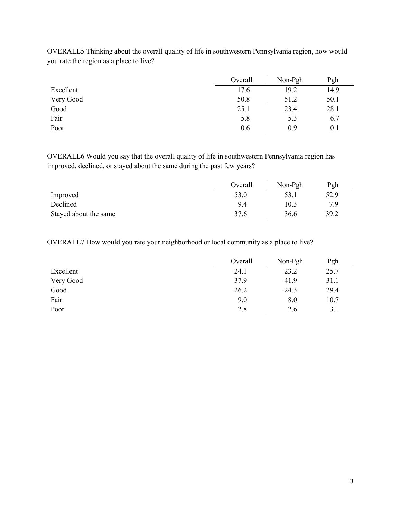|           | Overall | Non-Pgh | Pgh  |
|-----------|---------|---------|------|
| Excellent | 17.6    | 19.2    | 14.9 |
| Very Good | 50.8    | 51.2    | 50.1 |
| Good      | 25.1    | 23.4    | 28.1 |
| Fair      | 5.8     | 5.3     | 6.7  |
| Poor      | 0.6     | 0.9     | 0.1  |

OVERALL5 Thinking about the overall quality of life in southwestern Pennsylvania region, how would you rate the region as a place to live?

OVERALL6 Would you say that the overall quality of life in southwestern Pennsylvania region has improved, declined, or stayed about the same during the past few years?

|                       | Overall | Non-Pgh | Pgh  |
|-----------------------|---------|---------|------|
| Improved              | 53.0    | 53.1    | 52.9 |
| Declined              | 9.4     | 10.3    | 7 Q  |
| Stayed about the same | 37.6    | 36.6    | 39.2 |

OVERALL7 How would you rate your neighborhood or local community as a place to live?

|           | Overall | Non-Pgh | Pgh  |
|-----------|---------|---------|------|
| Excellent | 24.1    | 23.2    | 25.7 |
| Very Good | 37.9    | 41.9    | 31.1 |
| Good      | 26.2    | 24.3    | 29.4 |
| Fair      | 9.0     | 8.0     | 10.7 |
| Poor      | 2.8     | 2.6     | 3.1  |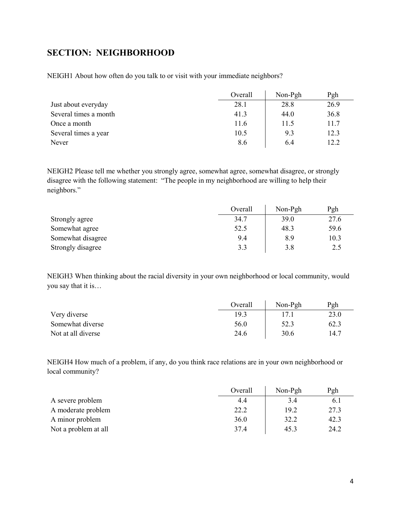# <span id="page-3-0"></span>**SECTION: NEIGHBORHOOD**

NEIGH1 About how often do you talk to or visit with your immediate neighbors?

|                       | Overall | $Non-Pgh$ | Pgh  |
|-----------------------|---------|-----------|------|
| Just about everyday   | 28.1    | 28.8      | 26.9 |
| Several times a month | 41.3    | 44.0      | 36.8 |
| Once a month          | 11.6    | 11.5      | 11.7 |
| Several times a year  | 10.5    | 9.3       | 12.3 |
| Never                 | 8.6     | 6.4       | 12.2 |

NEIGH2 Please tell me whether you strongly agree, somewhat agree, somewhat disagree, or strongly disagree with the following statement: "The people in my neighborhood are willing to help their neighbors."

|                   | Overall | Non-Pgh | Pgh  |
|-------------------|---------|---------|------|
| Strongly agree    | 34.7    | 39.0    | 27.6 |
| Somewhat agree    | 52.5    | 48.3    | 59.6 |
| Somewhat disagree | 9.4     | 8.9     | 10.3 |
| Strongly disagree | 3.3     | 3.8     | 2.5  |

NEIGH3 When thinking about the racial diversity in your own neighborhood or local community, would you say that it is…

|                    | Overall | Non-Pgh | Pgh  |
|--------------------|---------|---------|------|
| Very diverse       | 19.3    |         | 23.0 |
| Somewhat diverse   | 56.0    | 52.3    | 62.3 |
| Not at all diverse | 24.6    | 30.6    | 14.7 |

NEIGH4 How much of a problem, if any, do you think race relations are in your own neighborhood or local community?

|                      | Overall | Non-Pgh | Pgh  |
|----------------------|---------|---------|------|
| A severe problem     | 4.4     | 3.4     | 6.1  |
| A moderate problem   | 22.2    | 19.2    | 27.3 |
| A minor problem      | 36.0    | 32.2    | 42.3 |
| Not a problem at all | 37.4    | 45.3    | 24.2 |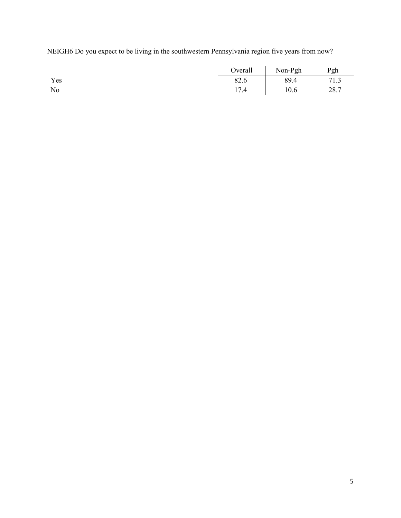NEIGH6 Do you expect to be living in the southwestern Pennsylvania region five years from now?

|     | Overall | Non-Pgh | Pgh  |
|-----|---------|---------|------|
| Yes | 82.6    | 89.4    | 71.3 |
| No  | 17.4    | 10.6    | 28.7 |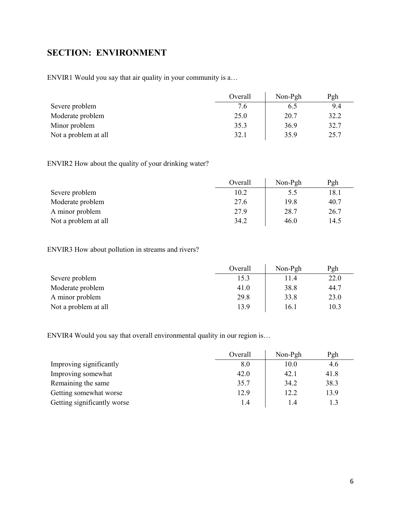# <span id="page-5-0"></span>**SECTION: ENVIRONMENT**

ENVIR1 Would you say that air quality in your community is a…

|                      | Overall | Non-Pgh | Pgh  |
|----------------------|---------|---------|------|
| Severe problem       | 7.6     | 6.5     | 9.4  |
| Moderate problem     | 25.0    | 20.7    | 32.2 |
| Minor problem        | 35.3    | 36.9    | 32.7 |
| Not a problem at all | 32.1    | 35.9    | 25.7 |

ENVIR2 How about the quality of your drinking water?

|                      | Overall | Non-Pgh | Pgh  |
|----------------------|---------|---------|------|
| Severe problem       | 10.2    | 5.5     | 18.1 |
| Moderate problem     | 27.6    | 19.8    | 40.7 |
| A minor problem      | 27.9    | 28.7    | 26.7 |
| Not a problem at all | 34.2    | 46.0    | 14.5 |

# ENVIR3 How about pollution in streams and rivers?

|                      | Overall | Non-Pgh | Pgh  |
|----------------------|---------|---------|------|
| Severe problem       | 15.3    | 11.4    | 22.0 |
| Moderate problem     | 41.0    | 38.8    | 44.7 |
| A minor problem      | 29.8    | 33.8    | 23.0 |
| Not a problem at all | 13.9    | 16.1    | 10.3 |

ENVIR4 Would you say that overall environmental quality in our region is…

|                             | Overall | $Non-Pgh$ | Pgh  |
|-----------------------------|---------|-----------|------|
| Improving significantly     | 8.0     | 10.0      | 4.6  |
| Improving somewhat          | 42.0    | 42.1      | 41.8 |
| Remaining the same          | 35.7    | 34.2      | 38.3 |
| Getting somewhat worse      | 12.9    | 12.2      | 13.9 |
| Getting significantly worse | 1.4     | 1.4       |      |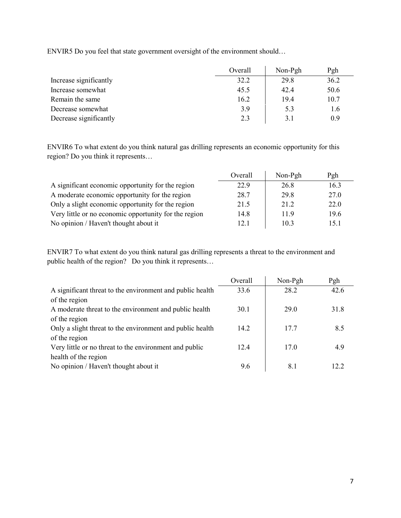ENVIR5 Do you feel that state government oversight of the environment should…

|                        | Overall | Non-Pgh | Pgh  |
|------------------------|---------|---------|------|
| Increase significantly | 32.2    | 29.8    | 36.2 |
| Increase somewhat      | 45.5    | 42.4    | 50.6 |
| Remain the same        | 16.2    | 19.4    | 10.7 |
| Decrease somewhat      | 3.9     | 5.3     | 1.6  |
| Decrease significantly | 2.3     | 3.1     | 0.9  |

ENVIR6 To what extent do you think natural gas drilling represents an economic opportunity for this region? Do you think it represents…

|                                                       | Overall | Non-Pgh | Pgh  |
|-------------------------------------------------------|---------|---------|------|
| A significant economic opportunity for the region     | 22.9    | 26.8    | 16.3 |
| A moderate economic opportunity for the region        | 28.7    | 29.8    | 27.0 |
| Only a slight economic opportunity for the region     | 21.5    | 21.2    | 22.0 |
| Very little or no economic opportunity for the region | 14.8    | 11.9    | 19.6 |
| No opinion / Haven't thought about it                 | 12.1    | 10.3    | 15.1 |

ENVIR7 To what extent do you think natural gas drilling represents a threat to the environment and public health of the region? Do you think it represents…

| Pgh  |
|------|
| 42.6 |
|      |
| 31.8 |
|      |
| 8.5  |
|      |
| 4.9  |
|      |
| 12.2 |
|      |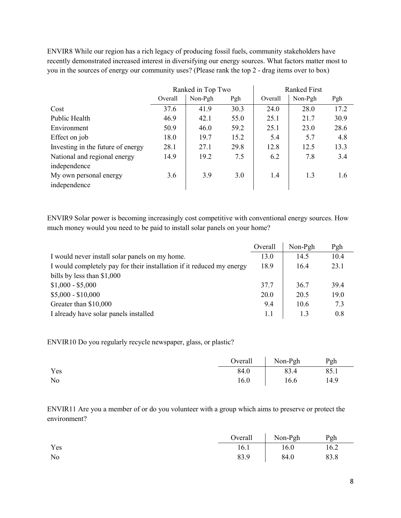ENVIR8 While our region has a rich legacy of producing fossil fuels, community stakeholders have recently demonstrated increased interest in diversifying our energy sources. What factors matter most to you in the sources of energy our community uses? (Please rank the top 2 - drag items over to box)

|                                   | Ranked in Top Two |         | <b>Ranked First</b> |         |         |      |
|-----------------------------------|-------------------|---------|---------------------|---------|---------|------|
|                                   | Overall           | Non-Pgh | Pgh                 | Overall | Non-Pgh | Pgh  |
| Cost                              | 37.6              | 41.9    | 30.3                | 24.0    | 28.0    | 17.2 |
| Public Health                     | 46.9              | 42.1    | 55.0                | 25.1    | 21.7    | 30.9 |
| Environment                       | 50.9              | 46.0    | 59.2                | 25.1    | 23.0    | 28.6 |
| Effect on job                     | 18.0              | 19.7    | 15.2                | 5.4     | 5.7     | 4.8  |
| Investing in the future of energy | 28.1              | 27.1    | 29.8                | 12.8    | 12.5    | 13.3 |
| National and regional energy      | 14.9              | 19.2    | 7.5                 | 6.2     | 7.8     | 3.4  |
| independence                      |                   |         |                     |         |         |      |
| My own personal energy            | 3.6               | 3.9     | 3.0                 | 1.4     | 1.3     | 1.6  |
| independence                      |                   |         |                     |         |         |      |

ENVIR9 Solar power is becoming increasingly cost competitive with conventional energy sources. How much money would you need to be paid to install solar panels on your home?

|                                                                       | Overall | Non-Pgh | Pgh  |
|-----------------------------------------------------------------------|---------|---------|------|
| I would never install solar panels on my home.                        | 13.0    | 14.5    | 10.4 |
| I would completely pay for their installation if it reduced my energy | 18.9    | 16.4    | 23.1 |
| bills by less than $$1,000$                                           |         |         |      |
| $$1,000 - $5,000$                                                     | 37.7    | 36.7    | 39.4 |
| $$5,000 - $10,000$                                                    | 20.0    | 20.5    | 19.0 |
| Greater than \$10,000                                                 | 9.4     | 10.6    | 7.3  |
| I already have solar panels installed                                 | 1.1     | 1.3     | 0.8  |

ENVIR10 Do you regularly recycle newspaper, glass, or plastic?

|     |      | Overall Non-Pgh | Pgh  |
|-----|------|-----------------|------|
| Yes | 84.0 | 83.4            | 85.1 |
| No  | 16.0 | 16.6            | 14.9 |

ENVIR11 Are you a member of or do you volunteer with a group which aims to preserve or protect the environment?

|     |      | Overall   Non-Pgh | Pgh  |
|-----|------|-------------------|------|
| Yes | 16.1 | 16.0              | 16.2 |
| No  | 83.9 | 84.0              | 83.8 |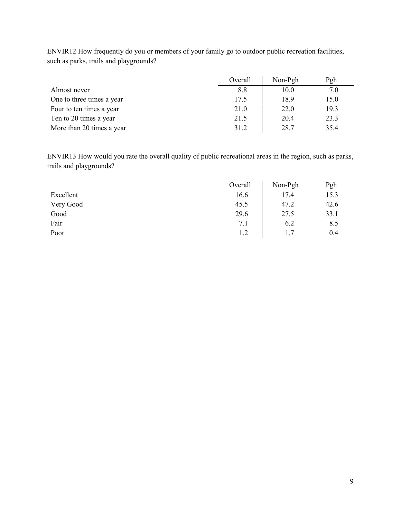|                           | Overall | $Non-Pgh$ | Pgh  |
|---------------------------|---------|-----------|------|
| Almost never              | 8.8     | 10.0      | 7.0  |
| One to three times a year | 17.5    | 18.9      | 15.0 |
| Four to ten times a year  | 21.0    | 22.0      | 19.3 |
| Ten to 20 times a year    | 21.5    | 20.4      | 23.3 |
| More than 20 times a year | 31.2    | 28.7      | 35.4 |

ENVIR12 How frequently do you or members of your family go to outdoor public recreation facilities, such as parks, trails and playgrounds?

ENVIR13 How would you rate the overall quality of public recreational areas in the region, such as parks, trails and playgrounds?

|           | Overall | Non-Pgh | Pgh  |
|-----------|---------|---------|------|
| Excellent | 16.6    | 17.4    | 15.3 |
| Very Good | 45.5    | 47.2    | 42.6 |
| Good      | 29.6    | 27.5    | 33.1 |
| Fair      | 7.1     | 6.2     | 8.5  |
| Poor      | 1.2     | 1.7     | 0.4  |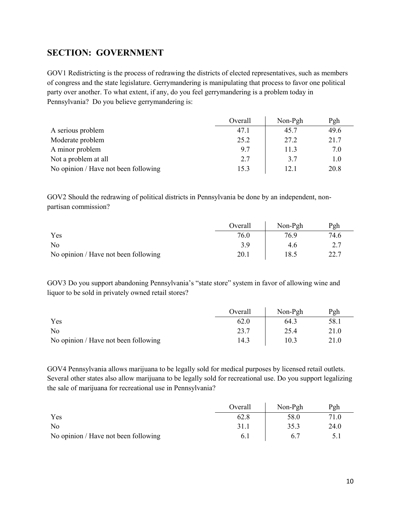# <span id="page-9-0"></span>**SECTION: GOVERNMENT**

GOV1 Redistricting is the process of redrawing the districts of elected representatives, such as members of congress and the state legislature. Gerrymandering is manipulating that process to favor one political party over another. To what extent, if any, do you feel gerrymandering is a problem today in Pennsylvania? Do you believe gerrymandering is:

|                                      | Overall | $Non-Pgh$ | Pgh  |
|--------------------------------------|---------|-----------|------|
| A serious problem                    | 47.1    | 45.7      | 49.6 |
| Moderate problem                     | 25.2    | 27.2      | 21.7 |
| A minor problem                      | 9.7     | 11.3      | 7.0  |
| Not a problem at all                 | 2.7     | 3.7       | 1.0  |
| No opinion / Have not been following | 15.3    | 12.1      | 20.8 |

GOV2 Should the redrawing of political districts in Pennsylvania be done by an independent, nonpartisan commission?

|                                      | Overall | $Non-Pgh$ | Pgh  |
|--------------------------------------|---------|-----------|------|
| Yes                                  | 76.0    | 76.9      | 74.6 |
| N <sub>0</sub>                       | 3.9     | 4.6       |      |
| No opinion / Have not been following | 20.1    | 18.5      | ר רר |

GOV3 Do you support abandoning Pennsylvania's "state store" system in favor of allowing wine and liquor to be sold in privately owned retail stores?

|                                      | Overall | Non-Pgh | Pgh  |
|--------------------------------------|---------|---------|------|
| Yes                                  | 62.0    | 64.3    | 58.1 |
| N <sub>o</sub>                       | 23.7    | 25.4    | 21.0 |
| No opinion / Have not been following | 14.3    | 10.3    | 21.0 |

GOV4 Pennsylvania allows marijuana to be legally sold for medical purposes by licensed retail outlets. Several other states also allow marijuana to be legally sold for recreational use. Do you support legalizing the sale of marijuana for recreational use in Pennsylvania?

|                                      | Overall | Non-Pgh | Pgh  |
|--------------------------------------|---------|---------|------|
| Yes                                  | 62.8    | 58.0    | 71.0 |
| No                                   | 31.1    | 35.3    | 24.0 |
| No opinion / Have not been following | 6.1     |         |      |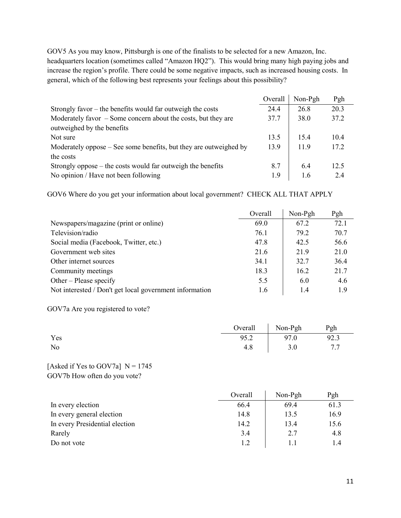GOV5 As you may know, Pittsburgh is one of the finalists to be selected for a new Amazon, Inc. headquarters location (sometimes called "Amazon HQ2"). This would bring many high paying jobs and increase the region's profile. There could be some negative impacts, such as increased housing costs. In general, which of the following best represents your feelings about this possibility?

|                                                                   | Overall | Non-Pgh | Pgh  |
|-------------------------------------------------------------------|---------|---------|------|
| Strongly favor $-$ the benefits would far outweigh the costs      | 24.4    | 26.8    | 20.3 |
| Moderately favor $-$ Some concern about the costs, but they are   | 37.7    | 38.0    | 37.2 |
| outweighed by the benefits                                        |         |         |      |
| Not sure                                                          | 13.5    | 15.4    | 10.4 |
| Moderately oppose – See some benefits, but they are outweighed by | 13.9    | 11.9    | 17.2 |
| the costs                                                         |         |         |      |
| Strongly oppose $-$ the costs would far outweigh the benefits     | 8.7     | 6.4     | 12.5 |
| No opinion / Have not been following                              | 1.9     | 1.6     | 2.4  |

GOV6 Where do you get your information about local government? CHECK ALL THAT APPLY

|                                                         | Overall | Non-Pgh | Pgh  |
|---------------------------------------------------------|---------|---------|------|
| Newspapers/magazine (print or online)                   | 69.0    | 67.2    | 72.1 |
| Television/radio                                        | 76.1    | 79.2    | 70.7 |
| Social media (Facebook, Twitter, etc.)                  | 47.8    | 42.5    | 56.6 |
| Government web sites                                    | 21.6    | 21.9    | 21.0 |
| Other internet sources                                  | 34.1    | 32.7    | 36.4 |
| Community meetings                                      | 18.3    | 16.2    | 21.7 |
| Other – Please specify                                  | 5.5     | 6.0     | 4.6  |
| Not interested / Don't get local government information | 1.6     | 1.4     | 1.9  |

GOV7a Are you registered to vote?

|     |      | Overall Non-Pgh | Pgh  |
|-----|------|-----------------|------|
| Yes | 95.2 | 97.0            | 92.3 |
| No  | 4.8  | 3.0             |      |

### [Asked if Yes to GOV7a]  $N = 1745$ GOV7b How often do you vote?

|                                | Overall | $Non-Pgh$ | Pgh  |
|--------------------------------|---------|-----------|------|
| In every election              | 66.4    | 69.4      | 61.3 |
| In every general election      | 14.8    | 13.5      | 16.9 |
| In every Presidential election | 14.2    | 13.4      | 15.6 |
| Rarely                         | 3.4     | 2.7       | 4.8  |
| Do not vote                    | 1.2     |           | 1.4  |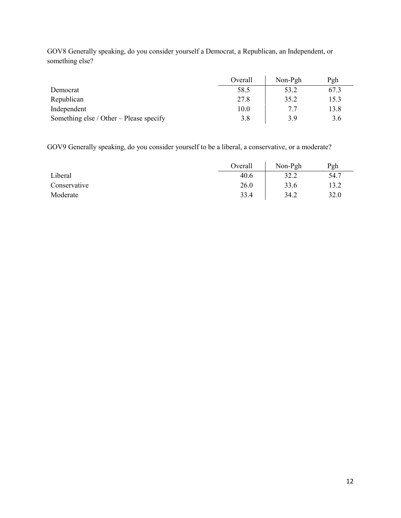GOV8 Generally speaking, do you consider yourself a Democrat, a Republican, an Independent, or something else?

|                                         | Overall | $Non-Pgh$ | Pgh  |
|-----------------------------------------|---------|-----------|------|
| Democrat                                | 58.5    | 53.2      | 67.3 |
| Republican                              | 27.8    | 35.2      | 15.3 |
| Independent                             | 10.0    | 7.7       | 13.8 |
| Something else / Other – Please specify | 3.8     | 3.9       | 3.6  |

GOV9 Generally speaking, do you consider yourself to be a liberal, a conservative, or a moderate?

|              | Overall | Non-Pgh | Pgh  |
|--------------|---------|---------|------|
| Liberal      | 40.6    | 32.2    | 54.7 |
| Conservative | 26.0    | 33.6    | 13.2 |
| Moderate     | 33.4    | 34.2    | 32.0 |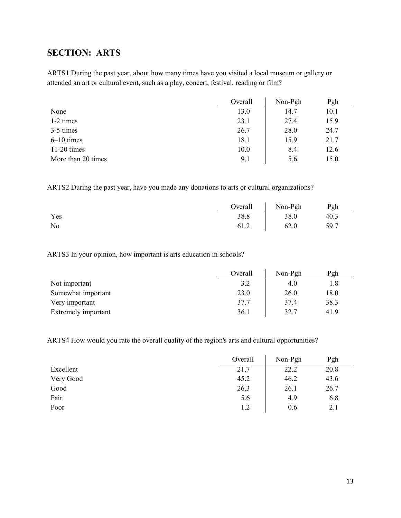# <span id="page-12-0"></span>**SECTION: ARTS**

ARTS1 During the past year, about how many times have you visited a local museum or gallery or attended an art or cultural event, such as a play, concert, festival, reading or film?

|                    | Overall | Non-Pgh | Pgh  |
|--------------------|---------|---------|------|
| None               | 13.0    | 14.7    | 10.1 |
| 1-2 times          | 23.1    | 27.4    | 15.9 |
| 3-5 times          | 26.7    | 28.0    | 24.7 |
| $6-10$ times       | 18.1    | 15.9    | 21.7 |
| $11-20$ times      | 10.0    | 8.4     | 12.6 |
| More than 20 times | 9.1     | 5.6     | 15.0 |

ARTS2 During the past year, have you made any donations to arts or cultural organizations?

|     | Overall | Non-Pgh | Pgh  |
|-----|---------|---------|------|
| Yes | 38.8    | 38.0    | 40.3 |
| No  | 61.2    | 62.0    | 59.7 |

ARTS3 In your opinion, how important is arts education in schools?

|                     | Overall | Non-Pgh | Pgh  |
|---------------------|---------|---------|------|
| Not important       | 3.2     | 4.0     | 1.8  |
| Somewhat important  | 23.0    | 26.0    | 18.0 |
| Very important      | 37.7    | 37.4    | 38.3 |
| Extremely important | 36.1    | 32.7    | 41.9 |

ARTS4 How would you rate the overall quality of the region's arts and cultural opportunities?

|           | Overall | Non-Pgh | Pgh  |
|-----------|---------|---------|------|
| Excellent | 21.7    | 22.2    | 20.8 |
| Very Good | 45.2    | 46.2    | 43.6 |
| Good      | 26.3    | 26.1    | 26.7 |
| Fair      | 5.6     | 4.9     | 6.8  |
| Poor      | 1.2     | 0.6     | 2.1  |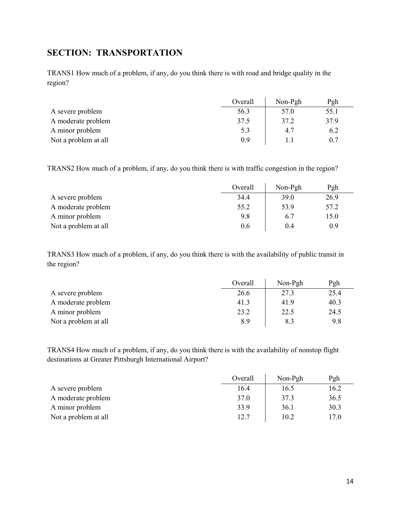# <span id="page-13-0"></span>**SECTION: TRANSPORTATION**

TRANS1 How much of a problem, if any, do you think there is with road and bridge quality in the region?

|                      | Overall | Non-Pgh | Pgh  |
|----------------------|---------|---------|------|
| A severe problem     | 56.3    | 57.0    | 55.1 |
| A moderate problem   | 37.5    | 37.2    | 37.9 |
| A minor problem      | 5.3     | 4.7     | 6.2  |
| Not a problem at all | 0.9     |         |      |

TRANS2 How much of a problem, if any, do you think there is with traffic congestion in the region?

|                      | Overall | Non-Pgh | Pgh  |
|----------------------|---------|---------|------|
| A severe problem     | 34.4    | 39.0    | 26.9 |
| A moderate problem   | 55.2    | 53.9    | 57.2 |
| A minor problem      | 9.8     | 6.7     | 15.0 |
| Not a problem at all | 0.6     | 0.4     | 0.9  |

TRANS3 How much of a problem, if any, do you think there is with the availability of public transit in the region?

|                      | Overall | Non-Pgh | Pgh  |
|----------------------|---------|---------|------|
| A severe problem     | 26.6    | 27.3    | 25.4 |
| A moderate problem   | 41.3    | 41.9    | 40.3 |
| A minor problem      | 23.2    | 22.5    | 24.5 |
| Not a problem at all | 8.9     | 8.3     | 9.8  |

TRANS4 How much of a problem, if any, do you think there is with the availability of nonstop flight destinations at Greater Pittsburgh International Airport?

|                      | Overall | $Non-Pgh$ | Pgh  |
|----------------------|---------|-----------|------|
| A severe problem     | 16.4    | 16.5      | 16.2 |
| A moderate problem   | 37.0    | 37.3      | 36.5 |
| A minor problem      | 33.9    | 36.1      | 30.3 |
| Not a problem at all | 12.7    | 10.2      | 17.0 |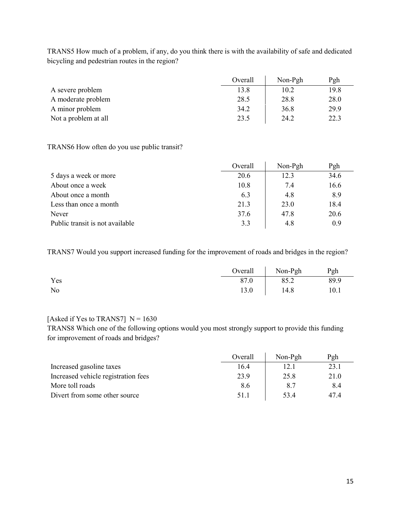TRANS5 How much of a problem, if any, do you think there is with the availability of safe and dedicated bicycling and pedestrian routes in the region?

|                      | Overall | Non-Pgh | Pgh  |
|----------------------|---------|---------|------|
| A severe problem     | 13.8    | 10.2    | 19.8 |
| A moderate problem   | 28.5    | 28.8    | 28.0 |
| A minor problem      | 34.2    | 36.8    | 29.9 |
| Not a problem at all | 23.5    | 24.2    | 22.3 |

#### TRANS6 How often do you use public transit?

|                                 | Overall | Non-Pgh | Pgh  |
|---------------------------------|---------|---------|------|
| 5 days a week or more           | 20.6    | 12.3    | 34.6 |
| About once a week               | 10.8    | 7.4     | 16.6 |
| About once a month              | 6.3     | 4.8     | 8.9  |
| Less than once a month          | 21.3    | 23.0    | 18.4 |
| Never                           | 37.6    | 47.8    | 20.6 |
| Public transit is not available | 3.3     | 4.8     | 0.9  |

TRANS7 Would you support increased funding for the improvement of roads and bridges in the region?

|     | Overall | Non-Pgh | Pgh  |
|-----|---------|---------|------|
| Yes | 87.0    | 85.2    | 89.9 |
| No  | 13.0    | 14.8    | 10.1 |

### [Asked if Yes to TRANS7]  $N = 1630$

TRANS8 Which one of the following options would you most strongly support to provide this funding for improvement of roads and bridges?

|                                     | Overall | Non-Pgh | Pgh  |
|-------------------------------------|---------|---------|------|
| Increased gasoline taxes            | 16.4    | 12.1    | 23.1 |
| Increased vehicle registration fees | 23.9    | 25.8    | 21.0 |
| More toll roads                     | 8.6     | 8.7     | 8.4  |
| Divert from some other source       | 51.1    | 53.4    | 47.4 |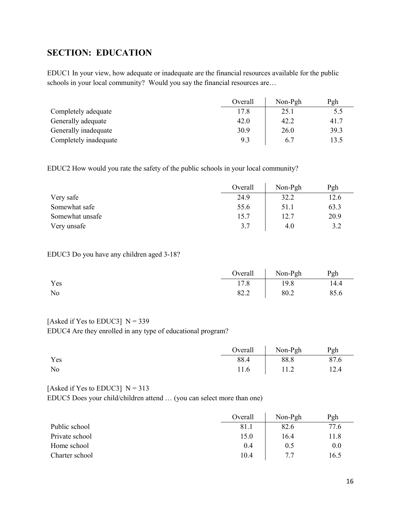# <span id="page-15-0"></span>**SECTION: EDUCATION**

EDUC1 In your view, how adequate or inadequate are the financial resources available for the public schools in your local community? Would you say the financial resources are…

|                       | Overall | Non-Pgh | Pgh  |
|-----------------------|---------|---------|------|
| Completely adequate   | 17.8    | 25.1    | 5.5  |
| Generally adequate    | 42.0    | 42.2    | 41.7 |
| Generally inadequate  | 30.9    | 26.0    | 39.3 |
| Completely inadequate | 9.3     | 6.7     | 13.5 |

EDUC2 How would you rate the safety of the public schools in your local community?

|                 | Overall | Non-Pgh | Pgh  |
|-----------------|---------|---------|------|
| Very safe       | 24.9    | 32.2    | 12.6 |
| Somewhat safe   | 55.6    | 51.1    | 63.3 |
| Somewhat unsafe | 15.7    | 12.7    | 20.9 |
| Very unsafe     | 3.7     | 4.0     | 3.2  |

#### EDUC3 Do you have any children aged 3-18?

|                |      | Overall Non-Pgh | Pgh  |
|----------------|------|-----------------|------|
| Yes            | 17.8 | 19.8            | 14.4 |
| N <sub>o</sub> | 82.2 | 80.2            | 85.6 |

#### [Asked if Yes to EDUC3]  $N = 339$

EDUC4 Are they enrolled in any type of educational program?

|                |      | Overall   Non-Pgh | Pgh  |
|----------------|------|-------------------|------|
| Yes            | 88.4 | 88.8              | 87.6 |
| N <sub>o</sub> |      | $11.6$   11.2     | 12.4 |

#### [Asked if Yes to EDUC3]  $N = 313$

EDUC5 Does your child/children attend … (you can select more than one)

|                | Overall | $Non-Pgh$ | Pgh  |
|----------------|---------|-----------|------|
| Public school  | 81.1    | 82.6      | 77.6 |
| Private school | 15.0    | 16.4      | 11.8 |
| Home school    | 0.4     | 0.5       | 0.0  |
| Charter school | 10.4    | 77        | 16.5 |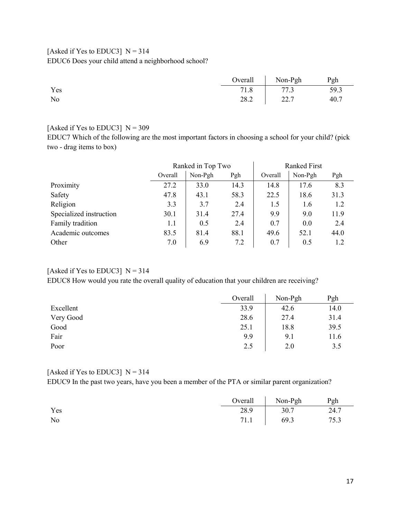## [Asked if Yes to EDUC3]  $N = 314$ EDUC6 Does your child attend a neighborhood school?

|                |      | Overall Non-Pgh | Pgh  |
|----------------|------|-----------------|------|
| Yes            | 71.8 | 77.3            | 59.3 |
| N <sub>o</sub> | 28.2 | 22.7            | 40.7 |

### [Asked if Yes to EDUC3]  $N = 309$

EDUC7 Which of the following are the most important factors in choosing a school for your child? (pick two - drag items to box)

|                         | Ranked in Top Two |         | <b>Ranked First</b> |         |         |      |
|-------------------------|-------------------|---------|---------------------|---------|---------|------|
|                         | Overall           | Non-Pgh | Pgh                 | Overall | Non-Pgh | Pgh  |
| Proximity               | 27.2              | 33.0    | 14.3                | 14.8    | 17.6    | 8.3  |
| Safety                  | 47.8              | 43.1    | 58.3                | 22.5    | 18.6    | 31.3 |
| Religion                | 3.3               | 3.7     | 2.4                 | 1.5     | 1.6     | 1.2  |
| Specialized instruction | 30.1              | 31.4    | 27.4                | 9.9     | 9.0     | 11.9 |
| Family tradition        | 1.1               | 0.5     | 2.4                 | 0.7     | 0.0     | 2.4  |
| Academic outcomes       | 83.5              | 81.4    | 88.1                | 49.6    | 52.1    | 44.0 |
| Other                   | 7.0               | 6.9     | 7.2                 | 0.7     | 0.5     | 1.2  |

# [Asked if Yes to EDUC3]  $N = 314$

EDUC8 How would you rate the overall quality of education that your children are receiving?

|           | Overall | Non-Pgh | Pgh  |
|-----------|---------|---------|------|
| Excellent | 33.9    | 42.6    | 14.0 |
| Very Good | 28.6    | 27.4    | 31.4 |
| Good      | 25.1    | 18.8    | 39.5 |
| Fair      | 9.9     | 9.1     | 11.6 |
| Poor      | 2.5     | 2.0     | 3.5  |

#### [Asked if Yes to EDUC3]  $N = 314$

EDUC9 In the past two years, have you been a member of the PTA or similar parent organization?

|     |      | Overall   Non-Pgh | Pgh  |
|-----|------|-------------------|------|
| Yes | 28.9 | 30.7              | 24.7 |
| No  |      | 71.1 69.3         | 75.3 |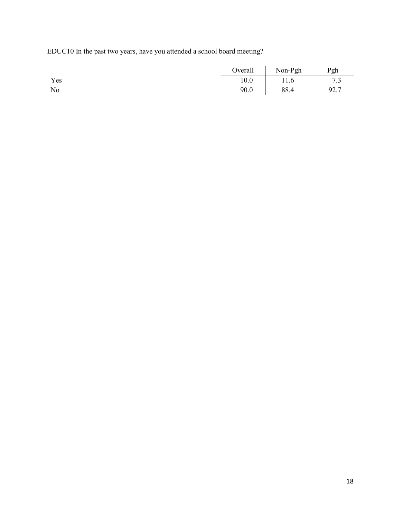EDUC10 In the past two years, have you attended a school board meeting?

|     |      | Overall Non-Pgh | Pgh  |
|-----|------|-----------------|------|
| Yes | 10.0 | 11.6            | 7.3  |
| No  | 90.0 | 88.4            | 92.7 |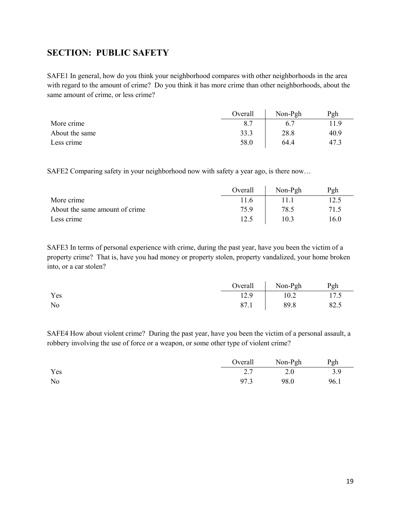# <span id="page-18-0"></span>**SECTION: PUBLIC SAFETY**

SAFE1 In general, how do you think your neighborhood compares with other neighborhoods in the area with regard to the amount of crime? Do you think it has more crime than other neighborhoods, about the same amount of crime, or less crime?

|                | Overall | Non-Pgh | Pgh  |
|----------------|---------|---------|------|
| More crime     | 8.7     |         | 11.9 |
| About the same | 33.3    | 28.8    | 40.9 |
| Less crime     | 58.0    | 64.4    | 47.3 |

SAFE2 Comparing safety in your neighborhood now with safety a year ago, is there now…

|                                | Overall | Non-Pgh | Pgh  |
|--------------------------------|---------|---------|------|
| More crime                     | 11.6    |         | 12.5 |
| About the same amount of crime | 75.9    | 78.5    | 71.5 |
| Less crime                     | 12.5    | 10.3    | 16.0 |

SAFE3 In terms of personal experience with crime, during the past year, have you been the victim of a property crime? That is, have you had money or property stolen, property vandalized, your home broken into, or a car stolen?

|     |      | Overall Non-Pgh | Pgh  |
|-----|------|-----------------|------|
| Yes | 12.9 | 10.2            | 17.5 |
| No  | 87.1 | 89.8            | 82.5 |

SAFE4 How about violent crime? During the past year, have you been the victim of a personal assault, a robbery involving the use of force or a weapon, or some other type of violent crime?

|     |      | Overall Non-Pgh | Pgh  |
|-----|------|-----------------|------|
| Yes |      | 2.7 2.0         | 3.9  |
| No  | 97.3 | 98.0            | 96.1 |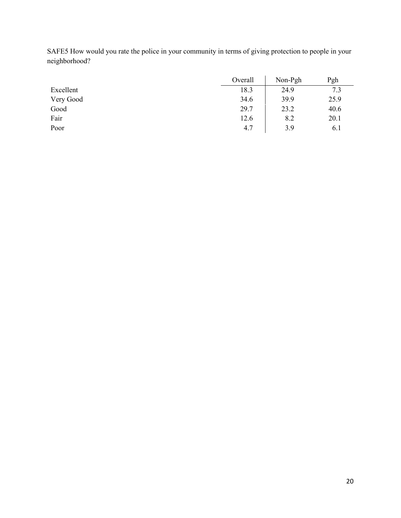|           | Overall | Non-Pgh | Pgh  |
|-----------|---------|---------|------|
| Excellent | 18.3    | 24.9    | 7.3  |
| Very Good | 34.6    | 39.9    | 25.9 |
| Good      | 29.7    | 23.2    | 40.6 |
| Fair      | 12.6    | 8.2     | 20.1 |
| Poor      | 4.7     | 3.9     | 6.1  |

SAFE5 How would you rate the police in your community in terms of giving protection to people in your neighborhood?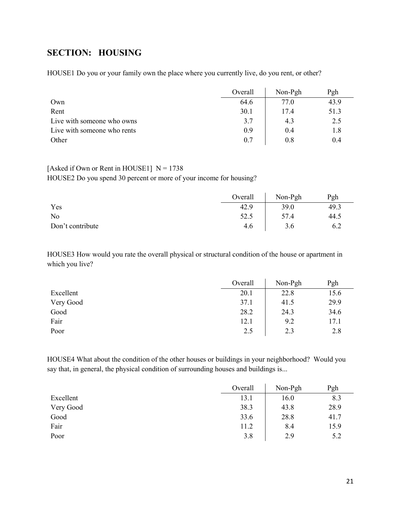# <span id="page-20-0"></span>**SECTION: HOUSING**

HOUSE1 Do you or your family own the place where you currently live, do you rent, or other?

|                             | Overall | Non-Pgh | Pgh  |
|-----------------------------|---------|---------|------|
| Own                         | 64.6    | 77.0    | 43.9 |
| Rent                        | 30.1    | 17.4    | 51.3 |
| Live with someone who owns  | 3.7     | 4.3     | 2.5  |
| Live with someone who rents | 0.9     | 0.4     | 1.8  |
| Other                       | 0.7     | 0.8     | 0.4  |

#### [Asked if Own or Rent in HOUSE1]  $N = 1738$

HOUSE2 Do you spend 30 percent or more of your income for housing?

|                  | Overall | Non-Pgh | Pgh  |
|------------------|---------|---------|------|
| Yes              | 42.9    | 39.0    | 49.3 |
| No               | 52.5    | 57.4    | 44.5 |
| Don't contribute | 4.6     | 3.6     | 6.2  |

HOUSE3 How would you rate the overall physical or structural condition of the house or apartment in which you live?

|           | Overall | Non-Pgh | Pgh  |
|-----------|---------|---------|------|
| Excellent | 20.1    | 22.8    | 15.6 |
| Very Good | 37.1    | 41.5    | 29.9 |
| Good      | 28.2    | 24.3    | 34.6 |
| Fair      | 12.1    | 9.2     | 17.1 |
| Poor      | 2.5     | 2.3     | 2.8  |

HOUSE4 What about the condition of the other houses or buildings in your neighborhood? Would you say that, in general, the physical condition of surrounding houses and buildings is...

|           | Overall | Non-Pgh | Pgh  |
|-----------|---------|---------|------|
| Excellent | 13.1    | 16.0    | 8.3  |
| Very Good | 38.3    | 43.8    | 28.9 |
| Good      | 33.6    | 28.8    | 41.7 |
| Fair      | 11.2    | 8.4     | 15.9 |
| Poor      | 3.8     | 2.9     | 5.2  |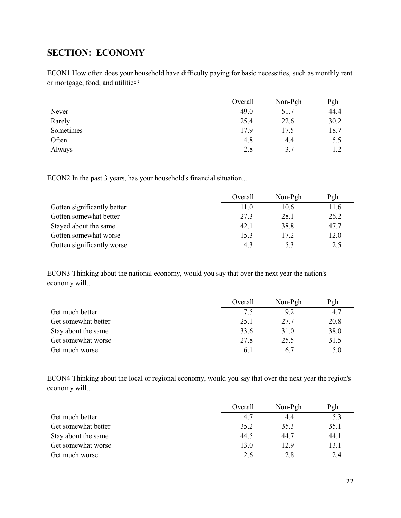# <span id="page-21-0"></span>**SECTION: ECONOMY**

ECON1 How often does your household have difficulty paying for basic necessities, such as monthly rent or mortgage, food, and utilities?

|           | Overall | Non-Pgh | Pgh  |
|-----------|---------|---------|------|
| Never     | 49.0    | 51.7    | 44.4 |
| Rarely    | 25.4    | 22.6    | 30.2 |
| Sometimes | 17.9    | 17.5    | 18.7 |
| Often     | 4.8     | 4.4     | 5.5  |
| Always    | 2.8     | 3.7     | 1.2  |

ECON2 In the past 3 years, has your household's financial situation...

|                             | Overall | Non-Pgh | Pgh  |
|-----------------------------|---------|---------|------|
| Gotten significantly better | 11.0    | 10.6    | 11.6 |
| Gotten somewhat better      | 27.3    | 28.1    | 26.2 |
| Stayed about the same       | 42.1    | 38.8    | 47.7 |
| Gotten somewhat worse       | 15.3    | 17.2    | 12.0 |
| Gotten significantly worse  | 4.3     | 5.3     | 2.5  |

ECON3 Thinking about the national economy, would you say that over the next year the nation's economy will...

|                     | Overall | Non-Pgh | Pgh  |
|---------------------|---------|---------|------|
| Get much better     | 7.5     | 9.2     | 4.7  |
| Get somewhat better | 25.1    | 27.7    | 20.8 |
| Stay about the same | 33.6    | 31.0    | 38.0 |
| Get somewhat worse  | 27.8    | 25.5    | 31.5 |
| Get much worse      | 6.1     | 6.7     | 5.0  |

ECON4 Thinking about the local or regional economy, would you say that over the next year the region's economy will...

|                     | Overall | $Non-Pgh$ | Pgh  |
|---------------------|---------|-----------|------|
| Get much better     | 4.7     | 4.4       | 5.3  |
| Get somewhat better | 35.2    | 35.3      | 35.1 |
| Stay about the same | 44.5    | 44.7      | 44.1 |
| Get somewhat worse  | 13.0    | 12.9      | 13.1 |
| Get much worse      | 2.6     | 2.8       | 2.4  |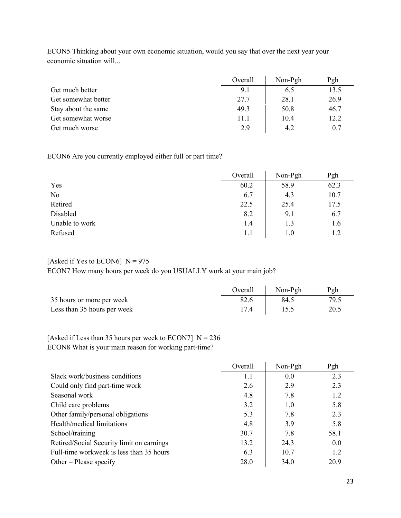|                     | Overall | Non-Pgh | Pgh  |
|---------------------|---------|---------|------|
| Get much better     | 9.1     | 6.5     | 13.5 |
| Get somewhat better | 27.7    | 28.1    | 26.9 |
| Stay about the same | 49.3    | 50.8    | 46.7 |
| Get somewhat worse  | 11.1    | 10.4    | 12.2 |
| Get much worse      | 2.9     | 4.2     | 0.7  |

ECON5 Thinking about your own economic situation, would you say that over the next year your economic situation will...

ECON6 Are you currently employed either full or part time?

|                | Overall | Non-Pgh | Pgh  |
|----------------|---------|---------|------|
| Yes            | 60.2    | 58.9    | 62.3 |
| No             | 6.7     | 4.3     | 10.7 |
| Retired        | 22.5    | 25.4    | 17.5 |
| Disabled       | 8.2     | 9.1     | 6.7  |
| Unable to work | 1.4     | 1.3     | 1.6  |
| Refused        | 1.1     | 1.0     | 1.2  |

### [Asked if Yes to ECON6]  $N = 975$ ECON7 How many hours per week do you USUALLY work at your main job?

|                             | Overall | Non-Pgh | Pgh  |
|-----------------------------|---------|---------|------|
| 35 hours or more per week   |         | 84.5    |      |
| Less than 35 hours per week |         |         | 20.5 |

### [Asked if Less than 35 hours per week to ECON7]  $N = 236$ ECON8 What is your main reason for working part-time?

|                                           | Overall | Non-Pgh | Pgh  |
|-------------------------------------------|---------|---------|------|
| Slack work/business conditions            | 1.1     | 0.0     | 2.3  |
| Could only find part-time work            | 2.6     | 2.9     | 2.3  |
| Seasonal work                             | 4.8     | 7.8     | 1.2  |
| Child care problems                       | 3.2     | 1.0     | 5.8  |
| Other family/personal obligations         | 5.3     | 7.8     | 2.3  |
| Health/medical limitations                | 4.8     | 3.9     | 5.8  |
| School/training                           | 30.7    | 7.8     | 58.1 |
| Retired/Social Security limit on earnings | 13.2    | 24.3    | 0.0  |
| Full-time workweek is less than 35 hours  | 6.3     | 10.7    | 1.2  |
| Other – Please specify                    | 28.0    | 34.0    | 20.9 |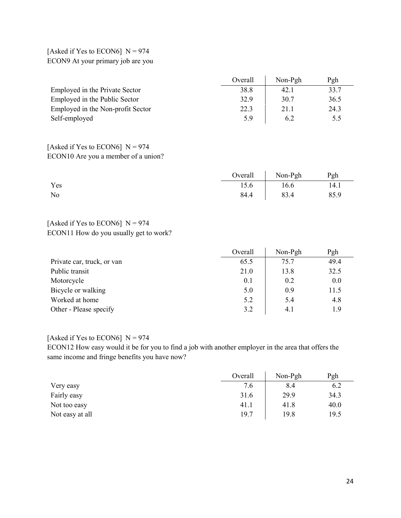## [Asked if Yes to ECON6]  $N = 974$ ECON9 At your primary job are you

|                                   | Overall | Non-Pgh | Pgh  |
|-----------------------------------|---------|---------|------|
| Employed in the Private Sector    | 38.8    | 42.1    | 33.7 |
| Employed in the Public Sector     | 32.9    | 30.7    | 36.5 |
| Employed in the Non-profit Sector | 22.3    | 21.1    | 24.3 |
| Self-employed                     | 5.9     | 6.2     | 5.5  |

### [Asked if Yes to ECON6]  $N = 974$ ECON10 Are you a member of a union?

|     | Overall Non-Pgh Pgh |      |
|-----|---------------------|------|
| Yes | 15.6 16.6           | 14.1 |
| No  | 84.4 83.4           | 85.9 |

## [Asked if Yes to ECON6]  $N = 974$ ECON11 How do you usually get to work?

|                            | Overall | Non-Pgh | Pgh  |
|----------------------------|---------|---------|------|
| Private car, truck, or van | 65.5    | 75.7    | 49.4 |
| Public transit             | 21.0    | 13.8    | 32.5 |
| Motorcycle                 | 0.1     | 0.2     | 0.0  |
| Bicycle or walking         | 5.0     | 0.9     | 11.5 |
| Worked at home             | 5.2     | 5.4     | 4.8  |
| Other - Please specify     | 3.2     | 4.1     | 1.9  |

#### [Asked if Yes to ECON6]  $N = 974$

ECON12 How easy would it be for you to find a job with another employer in the area that offers the same income and fringe benefits you have now?

|                 | Overall | Non-Pgh | Pgh  |
|-----------------|---------|---------|------|
| Very easy       | 7.6     | 8.4     | 6.2  |
| Fairly easy     | 31.6    | 29.9    | 34.3 |
| Not too easy    | 41.1    | 41.8    | 40.0 |
| Not easy at all | 19.7    | 19.8    | 19.5 |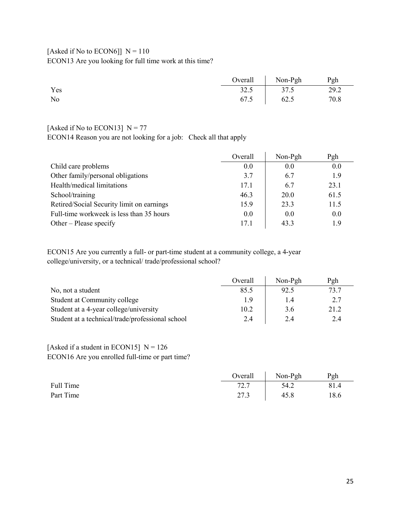## [Asked if No to ECON6]]  $N = 110$ ECON13 Are you looking for full time work at this time?

|     | Overall   Non-Pgh    Pgh |      |
|-----|--------------------------|------|
| Yes | $32.5$   $37.5$          | 29.2 |
| No  | 67.5 62.5                | 70.8 |

### [Asked if No to ECON13]  $N = 77$

ECON14 Reason you are not looking for a job: Check all that apply

|                                           | Overall | Non-Pgh | Pgh  |
|-------------------------------------------|---------|---------|------|
| Child care problems                       | 0.0     | 0.0     | 0.0  |
| Other family/personal obligations         | 3.7     | 6.7     | 1.9  |
| Health/medical limitations                | 17.1    | 6.7     | 23.1 |
| School/training                           | 46.3    | 20.0    | 61.5 |
| Retired/Social Security limit on earnings | 15.9    | 23.3    | 11.5 |
| Full-time workweek is less than 35 hours  | 0.0     | 0.0     | 0.0  |
| Other – Please specify                    | 17.1    | 43.3    | 1.9  |

ECON15 Are you currently a full- or part-time student at a community college, a 4-year college/university, or a technical/ trade/professional school?

|                                                  | Overall | Non-Pgh | Pgh  |
|--------------------------------------------------|---------|---------|------|
| No, not a student                                | 85.5    | 92.5    | 73.7 |
| Student at Community college                     | 1.9     | 1.4     | 2.7  |
| Student at a 4-year college/university           | 10.2    | 3.6     | 21.2 |
| Student at a technical/trade/professional school | 2.4     | 2.4     | 2.4  |

## [Asked if a student in ECON15]  $N = 126$ ECON16 Are you enrolled full-time or part time?

|           | Overall | Non-Pgh | Pgh  |
|-----------|---------|---------|------|
| Full Time | 72.7    | 54.2    | 81.4 |
| Part Time | 27.3    | 45.8    | 18.6 |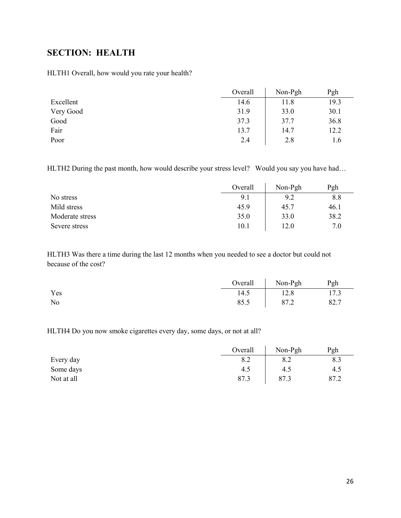# <span id="page-25-0"></span>**SECTION: HEALTH**

HLTH1 Overall, how would you rate your health?

|           | Overall | Non-Pgh | Pgh  |
|-----------|---------|---------|------|
| Excellent | 14.6    | 11.8    | 19.3 |
| Very Good | 31.9    | 33.0    | 30.1 |
| Good      | 37.3    | 37.7    | 36.8 |
| Fair      | 13.7    | 14.7    | 12.2 |
| Poor      | 2.4     | 2.8     | 1.6  |

HLTH2 During the past month, how would describe your stress level? Would you say you have had...

|                 | Overall | Non-Pgh | Pgh  |
|-----------------|---------|---------|------|
| No stress       | 9.1     | 9.2     | 8.8  |
| Mild stress     | 45.9    | 45.7    | 46.1 |
| Moderate stress | 35.0    | 33.0    | 38.2 |
| Severe stress   | 10.1    | 12.0    | 7.0  |

HLTH3 Was there a time during the last 12 months when you needed to see a doctor but could not because of the cost?

|     |      | Overall Non-Pgh | Pgh  |
|-----|------|-----------------|------|
| Yes | 14.5 | 12.8            | 17.3 |
| No  | 85.5 | 87.2            | 82.7 |

HLTH4 Do you now smoke cigarettes every day, some days, or not at all?

|            | Overall | $Non-Pgh$ | Pgh  |
|------------|---------|-----------|------|
| Every day  | 8.2     | 8.2       | 8.3  |
| Some days  | 4.5     | 4.5       | 4.5  |
| Not at all | 87.3    | 87.3      | 87.2 |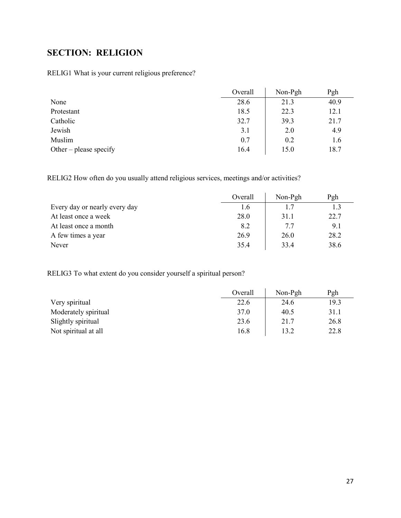# <span id="page-26-0"></span>**SECTION: RELIGION**

RELIG1 What is your current religious preference?

|                        | Overall | Non-Pgh | Pgh  |
|------------------------|---------|---------|------|
| None                   | 28.6    | 21.3    | 40.9 |
| Protestant             | 18.5    | 22.3    | 12.1 |
| Catholic               | 32.7    | 39.3    | 21.7 |
| Jewish                 | 3.1     | 2.0     | 4.9  |
| Muslim                 | 0.7     | 0.2     | 1.6  |
| Other – please specify | 16.4    | 15.0    | 18.7 |

RELIG2 How often do you usually attend religious services, meetings and/or activities?

|                               | Overall | Non-Pgh | Pgh  |
|-------------------------------|---------|---------|------|
| Every day or nearly every day | 1.6     | 1.7     | 1.3  |
| At least once a week          | 28.0    | 31.1    | 22.7 |
| At least once a month         | 8.2     | 7.7     | 9.1  |
| A few times a year            | 26.9    | 26.0    | 28.2 |
| Never                         | 35.4    | 33.4    | 38.6 |

RELIG3 To what extent do you consider yourself a spiritual person?

|                      | Overall | Non-Pgh | Pgh  |
|----------------------|---------|---------|------|
| Very spiritual       | 22.6    | 24.6    | 19.3 |
| Moderately spiritual | 37.0    | 40.5    | 31.1 |
| Slightly spiritual   | 23.6    | 21.7    | 26.8 |
| Not spiritual at all | 16.8    | 13.2    | 22.8 |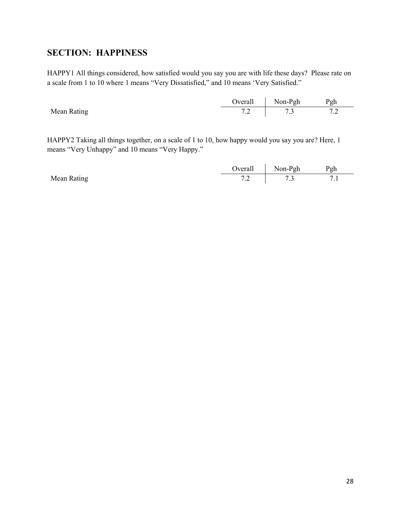# <span id="page-27-0"></span>**SECTION: HAPPINESS**

HAPPY1 All things considered, how satisfied would you say you are with life these days? Please rate on a scale from 1 to 10 where 1 means "Very Dissatisfied," and 10 means 'Very Satisfied."

|                    | <b>Dverall</b>                      | Non-Pgh        | Pgh                    |
|--------------------|-------------------------------------|----------------|------------------------|
| <b>Mean Rating</b> | $\overline{\phantom{a}}$<br>$\cdot$ | $\cdot$ $\sim$ | $^{\prime}$ . $\angle$ |

HAPPY2 Taking all things together, on a scale of 1 to 10, how happy would you say you are? Here, 1 means "Very Unhappy" and 10 means "Very Happy."

|             | <b>D</b> verall | Non-Pgh | Pgh |
|-------------|-----------------|---------|-----|
| Mean Rating | $\cdot$         |         |     |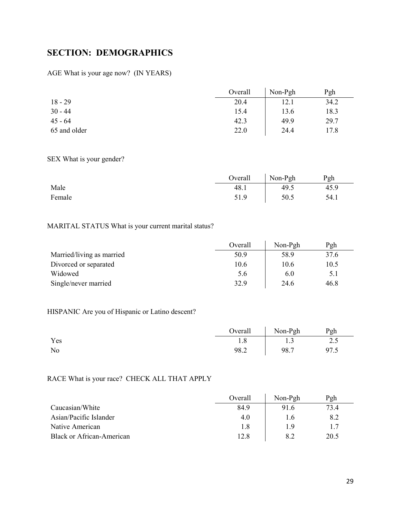# <span id="page-28-0"></span>**SECTION: DEMOGRAPHICS**

### AGE What is your age now? (IN YEARS)

|              | Overall | Non-Pgh | Pgh  |
|--------------|---------|---------|------|
| $18 - 29$    | 20.4    | 12.1    | 34.2 |
| $30 - 44$    | 15.4    | 13.6    | 18.3 |
| $45 - 64$    | 42.3    | 49.9    | 29.7 |
| 65 and older | 22.0    | 24.4    | 17.8 |

### SEX What is your gender?

|        | Overall | $\sqrt{\frac{1}{2}}$ Non-Pgh | Pgh  |
|--------|---------|------------------------------|------|
| Male   | 48.1    | 49.5                         | 45.9 |
| Female | 51.9    | 50.5                         | 54.1 |

## MARITAL STATUS What is your current marital status?

|                           | Overall | Non-Pgh | Pgh  |
|---------------------------|---------|---------|------|
| Married/living as married | 50.9    | 58.9    | 37.6 |
| Divorced or separated     | 10.6    | 10.6    | 10.5 |
| Widowed                   | 5.6     | 6.0     | 5.1  |
| Single/never married      | 32.9    | 24.6    | 46.8 |

## HISPANIC Are you of Hispanic or Latino descent?

|     |      | Overall Non-Pgh | Pgh  |
|-----|------|-----------------|------|
| Yes | 1.8  | 1.3             | 2.5  |
| No  | 98.2 | 98.7            | 97.5 |

## RACE What is your race? CHECK ALL THAT APPLY

|                                  | Overall | Non-Pgh | Pgh  |
|----------------------------------|---------|---------|------|
| Caucasian/White                  | 84.9    | 91.6    | 73.4 |
| Asian/Pacific Islander           | 4.0     | 1.6     | 8.2  |
| Native American                  | 1.8     | 19      | 1.7  |
| <b>Black or African-American</b> | 12.8    | 8.2     | 20.5 |